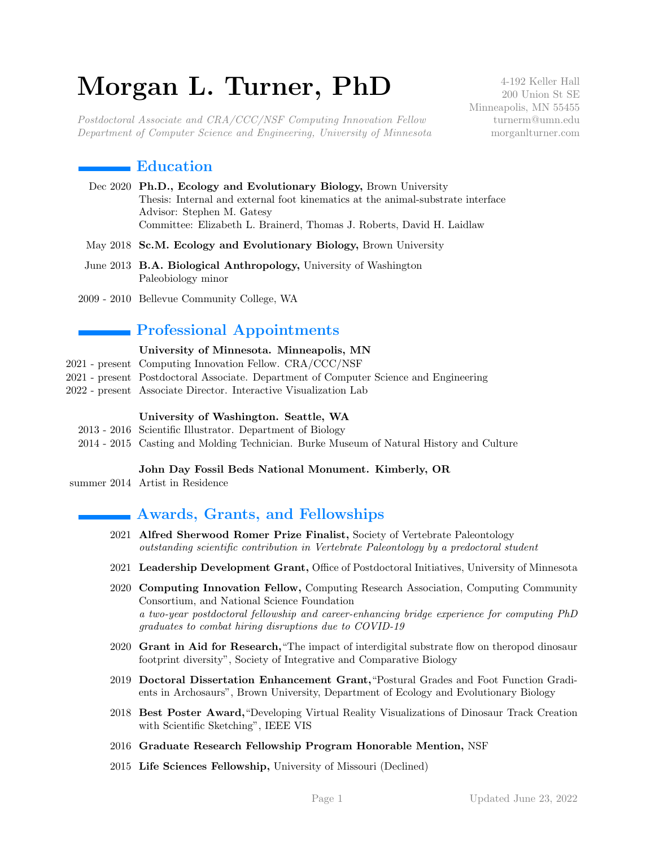# Morgan L. Turner, PhD

Postdoctoral Associate and CRA/CCC/NSF Computing Innovation Fellow Department of Computer Science and Engineering, University of Minnesota

4-192 Keller Hall 200 Union St SE Minneapolis, MN 55455 turnerm@umn.edu morganlturner.com

# $\blacksquare$  Education

- Dec 2020 Ph.D., Ecology and Evolutionary Biology, Brown University Thesis: Internal and external foot kinematics at the animal-substrate interface Advisor: Stephen M. Gatesy Committee: Elizabeth L. Brainerd, Thomas J. Roberts, David H. Laidlaw
- May 2018 Sc.M. Ecology and Evolutionary Biology, Brown University
- June 2013 B.A. Biological Anthropology, University of Washington Paleobiology minor
- 2009 2010 Bellevue Community College, WA

# Professional Appointments

#### University of Minnesota. Minneapolis, MN

- 2021 present Computing Innovation Fellow. CRA/CCC/NSF
- 2021 present Postdoctoral Associate. Department of Computer Science and Engineering
- 2022 present Associate Director. Interactive Visualization Lab

#### University of Washington. Seattle, WA

- 2013 2016 Scientific Illustrator. Department of Biology
- 2014 2015 Casting and Molding Technician. Burke Museum of Natural History and Culture

#### John Day Fossil Beds National Monument. Kimberly, OR

summer 2014 Artist in Residence

# Awards, Grants, and Fellowships

- 2021 Alfred Sherwood Romer Prize Finalist, Society of Vertebrate Paleontology outstanding scientific contribution in Vertebrate Paleontology by a predoctoral student
- 2021 Leadership Development Grant, Office of Postdoctoral Initiatives, University of Minnesota
- 2020 Computing Innovation Fellow, Computing Research Association, Computing Community Consortium, and National Science Foundation a two-year postdoctoral fellowship and career-enhancing bridge experience for computing PhD graduates to combat hiring disruptions due to COVID-19
- 2020 Grant in Aid for Research,"The impact of interdigital substrate flow on theropod dinosaur footprint diversity", Society of Integrative and Comparative Biology
- 2019 Doctoral Dissertation Enhancement Grant,"Postural Grades and Foot Function Gradients in Archosaurs", Brown University, Department of Ecology and Evolutionary Biology
- 2018 Best Poster Award,"Developing Virtual Reality Visualizations of Dinosaur Track Creation with Scientific Sketching", IEEE VIS
- 2016 Graduate Research Fellowship Program Honorable Mention, NSF
- 2015 Life Sciences Fellowship, University of Missouri (Declined)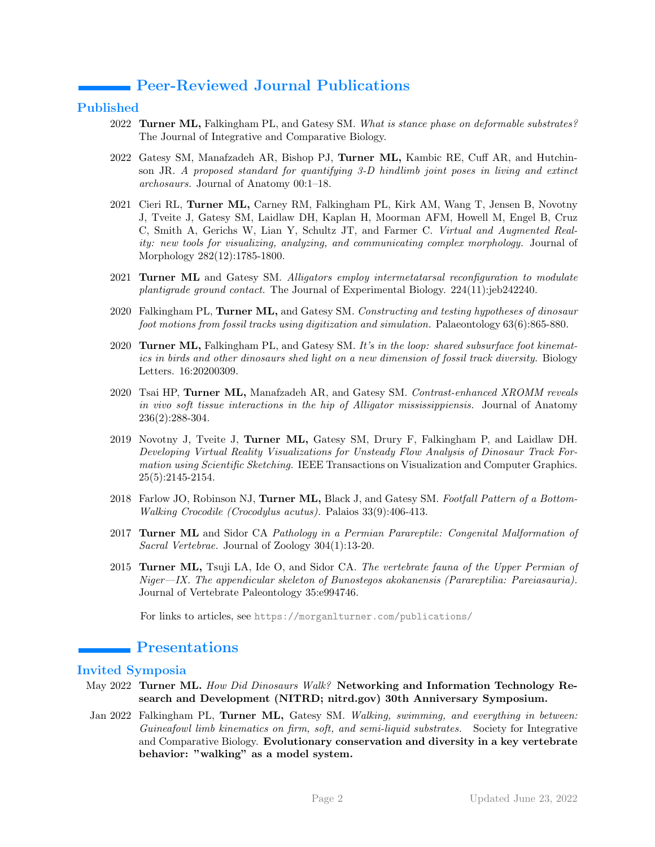# Peer-Reviewed Journal Publications

## Published

- 2022 Turner ML, Falkingham PL, and Gatesy SM. What is stance phase on deformable substrates? The Journal of Integrative and Comparative Biology.
- 2022 Gatesy SM, Manafzadeh AR, Bishop PJ, Turner ML, Kambic RE, Cuff AR, and Hutchinson JR. A proposed standard for quantifying 3-D hindlimb joint poses in living and extinct archosaurs. Journal of Anatomy 00:1–18.
- 2021 Cieri RL, Turner ML, Carney RM, Falkingham PL, Kirk AM, Wang T, Jensen B, Novotny J, Tveite J, Gatesy SM, Laidlaw DH, Kaplan H, Moorman AFM, Howell M, Engel B, Cruz C, Smith A, Gerichs W, Lian Y, Schultz JT, and Farmer C. Virtual and Augmented Reality: new tools for visualizing, analyzing, and communicating complex morphology. Journal of Morphology 282(12):1785-1800.
- 2021 Turner ML and Gatesy SM. Alligators employ intermetatarsal reconfiguration to modulate plantigrade ground contact. The Journal of Experimental Biology. 224(11):jeb242240.
- 2020 Falkingham PL, Turner ML, and Gatesy SM. Constructing and testing hypotheses of dinosaur foot motions from fossil tracks using digitization and simulation. Palaeontology 63(6):865-880.
- 2020 Turner ML, Falkingham PL, and Gatesy SM. It's in the loop: shared subsurface foot kinematics in birds and other dinosaurs shed light on a new dimension of fossil track diversity. Biology Letters. 16:20200309.
- 2020 Tsai HP, Turner ML, Manafzadeh AR, and Gatesy SM. Contrast-enhanced XROMM reveals in vivo soft tissue interactions in the hip of Alligator mississippiensis. Journal of Anatomy 236(2):288-304.
- 2019 Novotny J, Tveite J, Turner ML, Gatesy SM, Drury F, Falkingham P, and Laidlaw DH. Developing Virtual Reality Visualizations for Unsteady Flow Analysis of Dinosaur Track Formation using Scientific Sketching. IEEE Transactions on Visualization and Computer Graphics. 25(5):2145-2154.
- 2018 Farlow JO, Robinson NJ, Turner ML, Black J, and Gatesy SM. Footfall Pattern of a Bottom-Walking Crocodile (Crocodylus acutus). Palaios 33(9):406-413.
- 2017 Turner ML and Sidor CA Pathology in a Permian Parareptile: Congenital Malformation of Sacral Vertebrae. Journal of Zoology 304(1):13-20.
- 2015 Turner ML, Tsuji LA, Ide O, and Sidor CA. The vertebrate fauna of the Upper Permian of Niger—IX. The appendicular skeleton of Bunostegos akokanensis (Parareptilia: Pareiasauria). Journal of Vertebrate Paleontology 35:e994746.

For links to articles, see <https://morganlturner.com/publications/>

# Presentations

## Invited Symposia

- May 2022 Turner ML. How Did Dinosaurs Walk? Networking and Information Technology Research and Development (NITRD; nitrd.gov) 30th Anniversary Symposium.
- Jan 2022 Falkingham PL, Turner ML, Gatesy SM. Walking, swimming, and everything in between: Guineafowl limb kinematics on firm, soft, and semi-liquid substrates. Society for Integrative and Comparative Biology. Evolutionary conservation and diversity in a key vertebrate behavior: "walking" as a model system.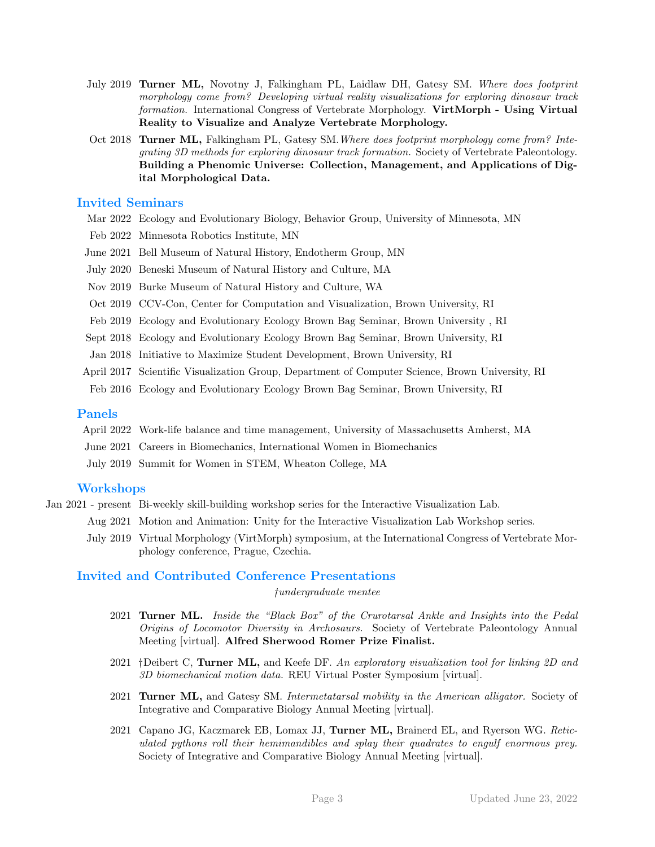- July 2019 Turner ML, Novotny J, Falkingham PL, Laidlaw DH, Gatesy SM. Where does footprint morphology come from? Developing virtual reality visualizations for exploring dinosaur track formation. International Congress of Vertebrate Morphology. VirtMorph - Using Virtual Reality to Visualize and Analyze Vertebrate Morphology.
- Oct 2018 Turner ML, Falkingham PL, Gatesy SM. Where does footprint morphology come from? Integrating 3D methods for exploring dinosaur track formation. Society of Vertebrate Paleontology. Building a Phenomic Universe: Collection, Management, and Applications of Digital Morphological Data.

## Invited Seminars

- Mar 2022 Ecology and Evolutionary Biology, Behavior Group, University of Minnesota, MN
- Feb 2022 Minnesota Robotics Institute, MN
- June 2021 Bell Museum of Natural History, Endotherm Group, MN
- July 2020 Beneski Museum of Natural History and Culture, MA
- Nov 2019 Burke Museum of Natural History and Culture, WA
- Oct 2019 CCV-Con, Center for Computation and Visualization, Brown University, RI
- Feb 2019 Ecology and Evolutionary Ecology Brown Bag Seminar, Brown University , RI
- Sept 2018 Ecology and Evolutionary Ecology Brown Bag Seminar, Brown University, RI
- Jan 2018 Initiative to Maximize Student Development, Brown University, RI
- April 2017 Scientific Visualization Group, Department of Computer Science, Brown University, RI
- Feb 2016 Ecology and Evolutionary Ecology Brown Bag Seminar, Brown University, RI

## Panels

- April 2022 Work-life balance and time management, University of Massachusetts Amherst, MA
- June 2021 Careers in Biomechanics, International Women in Biomechanics
- July 2019 Summit for Women in STEM, Wheaton College, MA

## **Workshops**

- Jan 2021 present Bi-weekly skill-building workshop series for the Interactive Visualization Lab.
	- Aug 2021 Motion and Animation: Unity for the Interactive Visualization Lab Workshop series.
		- July 2019 Virtual Morphology (VirtMorph) symposium, at the International Congress of Vertebrate Morphology conference, Prague, Czechia.

#### Invited and Contributed Conference Presentations

undergraduate mentee

- 2021 Turner ML. Inside the "Black Box" of the Crurotarsal Ankle and Insights into the Pedal Origins of Locomotor Diversity in Archosaurs. Society of Vertebrate Paleontology Annual Meeting [virtual]. Alfred Sherwood Romer Prize Finalist.
- 2021 † Deibert C, Turner ML, and Keefe DF. An exploratory visualization tool for linking 2D and 3D biomechanical motion data. REU Virtual Poster Symposium [virtual].
- 2021 Turner ML, and Gatesy SM. Intermetatarsal mobility in the American alligator. Society of Integrative and Comparative Biology Annual Meeting [virtual].
- 2021 Capano JG, Kaczmarek EB, Lomax JJ, Turner ML, Brainerd EL, and Ryerson WG. Reticulated pythons roll their hemimandibles and splay their quadrates to engulf enormous prey. Society of Integrative and Comparative Biology Annual Meeting [virtual].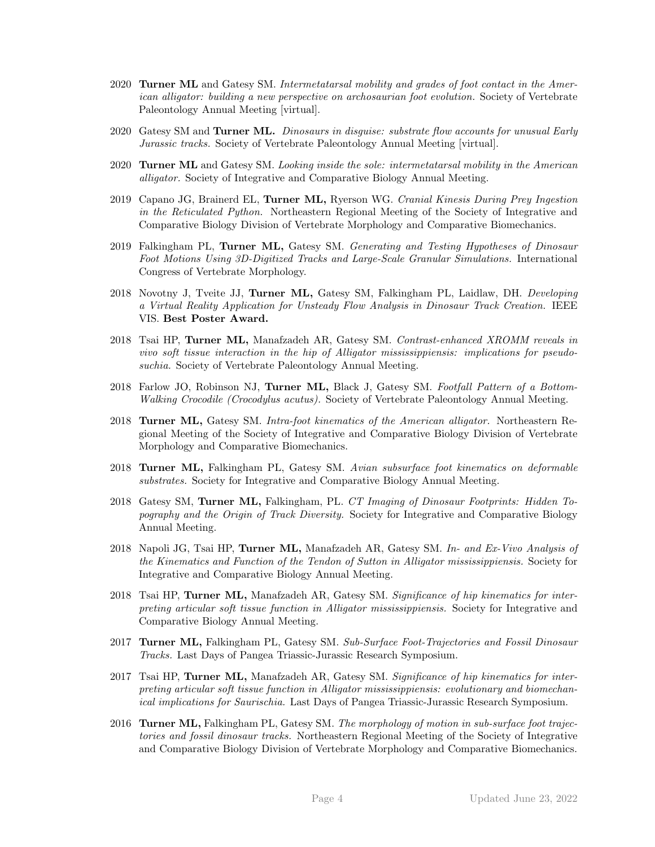- 2020 Turner ML and Gatesy SM. Intermetatarsal mobility and grades of foot contact in the American alligator: building a new perspective on archosaurian foot evolution. Society of Vertebrate Paleontology Annual Meeting [virtual].
- 2020 Gatesy SM and **Turner ML.** Dinosaurs in disquise: substrate flow accounts for unusual Early Jurassic tracks. Society of Vertebrate Paleontology Annual Meeting [virtual].
- 2020 Turner ML and Gatesy SM. Looking inside the sole: intermetatarsal mobility in the American alligator. Society of Integrative and Comparative Biology Annual Meeting.
- 2019 Capano JG, Brainerd EL, Turner ML, Ryerson WG. Cranial Kinesis During Prey Ingestion in the Reticulated Python. Northeastern Regional Meeting of the Society of Integrative and Comparative Biology Division of Vertebrate Morphology and Comparative Biomechanics.
- 2019 Falkingham PL, Turner ML, Gatesy SM. Generating and Testing Hypotheses of Dinosaur Foot Motions Using 3D-Digitized Tracks and Large-Scale Granular Simulations. International Congress of Vertebrate Morphology.
- 2018 Novotny J, Tveite JJ, Turner ML, Gatesy SM, Falkingham PL, Laidlaw, DH. Developing a Virtual Reality Application for Unsteady Flow Analysis in Dinosaur Track Creation. IEEE VIS. Best Poster Award.
- 2018 Tsai HP, Turner ML, Manafzadeh AR, Gatesy SM. Contrast-enhanced XROMM reveals in vivo soft tissue interaction in the hip of Alligator mississippiensis: implications for pseudosuchia. Society of Vertebrate Paleontology Annual Meeting.
- 2018 Farlow JO, Robinson NJ, Turner ML, Black J, Gatesy SM. Footfall Pattern of a Bottom-Walking Crocodile (Crocodylus acutus). Society of Vertebrate Paleontology Annual Meeting.
- 2018 Turner ML, Gatesy SM. Intra-foot kinematics of the American alligator. Northeastern Regional Meeting of the Society of Integrative and Comparative Biology Division of Vertebrate Morphology and Comparative Biomechanics.
- 2018 Turner ML, Falkingham PL, Gatesy SM. Avian subsurface foot kinematics on deformable substrates. Society for Integrative and Comparative Biology Annual Meeting.
- 2018 Gatesy SM, Turner ML, Falkingham, PL. CT Imaging of Dinosaur Footprints: Hidden Topography and the Origin of Track Diversity. Society for Integrative and Comparative Biology Annual Meeting.
- 2018 Napoli JG, Tsai HP, Turner ML, Manafzadeh AR, Gatesy SM. In- and Ex-Vivo Analysis of the Kinematics and Function of the Tendon of Sutton in Alligator mississippiensis. Society for Integrative and Comparative Biology Annual Meeting.
- 2018 Tsai HP, Turner ML, Manafzadeh AR, Gatesy SM. Significance of hip kinematics for interpreting articular soft tissue function in Alligator mississippiensis. Society for Integrative and Comparative Biology Annual Meeting.
- 2017 Turner ML, Falkingham PL, Gatesy SM. Sub-Surface Foot-Trajectories and Fossil Dinosaur Tracks. Last Days of Pangea Triassic-Jurassic Research Symposium.
- 2017 Tsai HP, Turner ML, Manafzadeh AR, Gatesy SM. Significance of hip kinematics for interpreting articular soft tissue function in Alligator mississippiensis: evolutionary and biomechanical implications for Saurischia. Last Days of Pangea Triassic-Jurassic Research Symposium.
- 2016 Turner ML, Falkingham PL, Gatesy SM. The morphology of motion in sub-surface foot trajectories and fossil dinosaur tracks. Northeastern Regional Meeting of the Society of Integrative and Comparative Biology Division of Vertebrate Morphology and Comparative Biomechanics.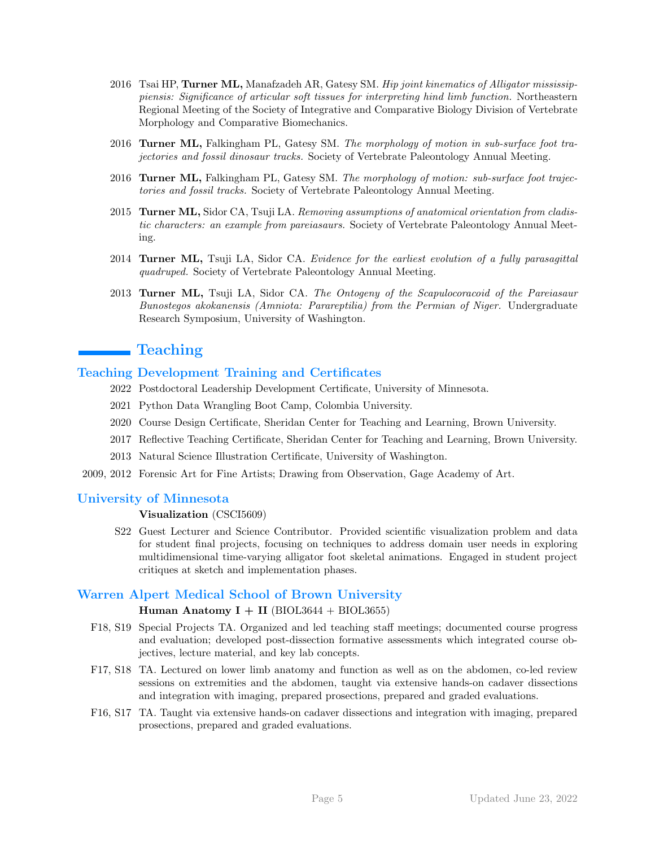- 2016 Tsai HP, Turner ML, Manafzadeh AR, Gatesy SM. Hip joint kinematics of Alligator mississippiensis: Significance of articular soft tissues for interpreting hind limb function. Northeastern Regional Meeting of the Society of Integrative and Comparative Biology Division of Vertebrate Morphology and Comparative Biomechanics.
- 2016 Turner ML, Falkingham PL, Gatesy SM. The morphology of motion in sub-surface foot trajectories and fossil dinosaur tracks. Society of Vertebrate Paleontology Annual Meeting.
- 2016 Turner ML, Falkingham PL, Gatesy SM. The morphology of motion: sub-surface foot trajectories and fossil tracks. Society of Vertebrate Paleontology Annual Meeting.
- 2015 Turner ML, Sidor CA, Tsuji LA. Removing assumptions of anatomical orientation from cladistic characters: an example from pareiasaurs. Society of Vertebrate Paleontology Annual Meeting.
- 2014 Turner ML, Tsuji LA, Sidor CA. Evidence for the earliest evolution of a fully parasagittal quadruped. Society of Vertebrate Paleontology Annual Meeting.
- 2013 Turner ML, Tsuji LA, Sidor CA. The Ontogeny of the Scapulocoracoid of the Pareiasaur Bunostegos akokanensis (Amniota: Parareptilia) from the Permian of Niger. Undergraduate Research Symposium, University of Washington.

# ■ Teaching

## Teaching Development Training and Certificates

- 2022 Postdoctoral Leadership Development Certificate, University of Minnesota.
- 2021 Python Data Wrangling Boot Camp, Colombia University.
- 2020 Course Design Certificate, Sheridan Center for Teaching and Learning, Brown University.
- 2017 Reflective Teaching Certificate, Sheridan Center for Teaching and Learning, Brown University.
- 2013 Natural Science Illustration Certificate, University of Washington.
- 2009, 2012 Forensic Art for Fine Artists; Drawing from Observation, Gage Academy of Art.

## University of Minnesota

#### Visualization (CSCI5609)

S22 Guest Lecturer and Science Contributor. Provided scientific visualization problem and data for student final projects, focusing on techniques to address domain user needs in exploring multidimensional time-varying alligator foot skeletal animations. Engaged in student project critiques at sketch and implementation phases.

## Warren Alpert Medical School of Brown University

#### Human Anatomy  $I + II$  (BIOL3644 + BIOL3655)

- F18, S19 Special Projects TA. Organized and led teaching staff meetings; documented course progress and evaluation; developed post-dissection formative assessments which integrated course objectives, lecture material, and key lab concepts.
- F17, S18 TA. Lectured on lower limb anatomy and function as well as on the abdomen, co-led review sessions on extremities and the abdomen, taught via extensive hands-on cadaver dissections and integration with imaging, prepared prosections, prepared and graded evaluations.
- F16, S17 TA. Taught via extensive hands-on cadaver dissections and integration with imaging, prepared prosections, prepared and graded evaluations.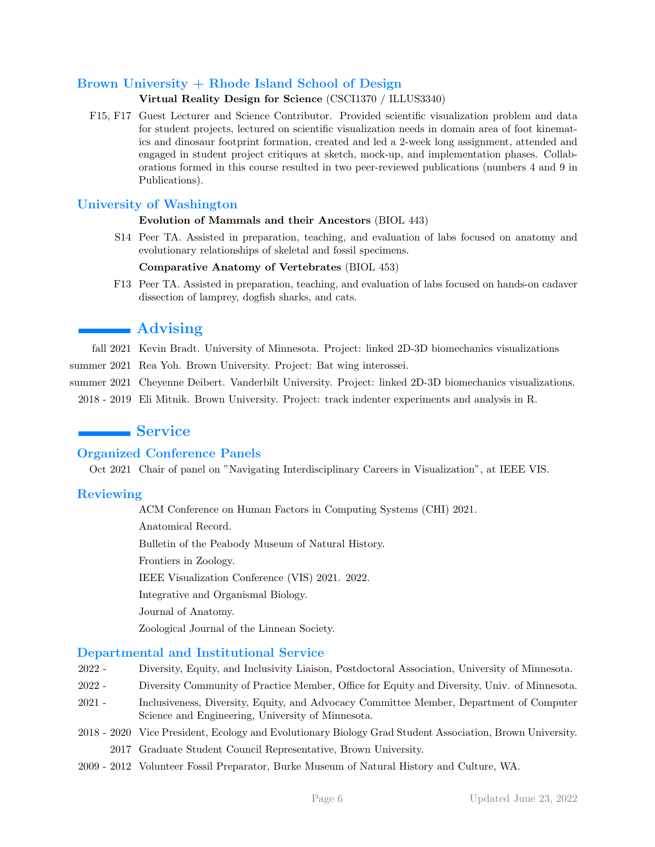# Brown University + Rhode Island School of Design

## Virtual Reality Design for Science (CSCI1370 / ILLUS3340)

F15, F17 Guest Lecturer and Science Contributor. Provided scientific visualization problem and data for student projects, lectured on scientific visualization needs in domain area of foot kinematics and dinosaur footprint formation, created and led a 2-week long assignment, attended and engaged in student project critiques at sketch, mock-up, and implementation phases. Collaborations formed in this course resulted in two peer-reviewed publications (numbers 4 and 9 in Publications).

# University of Washington

## Evolution of Mammals and their Ancestors (BIOL 443)

S14 Peer TA. Assisted in preparation, teaching, and evaluation of labs focused on anatomy and evolutionary relationships of skeletal and fossil specimens.

## Comparative Anatomy of Vertebrates (BIOL 453)

F13 Peer TA. Assisted in preparation, teaching, and evaluation of labs focused on hands-on cadaver dissection of lamprey, dogfish sharks, and cats.

# **Advising**

- fall 2021 Kevin Bradt. University of Minnesota. Project: linked 2D-3D biomechanics visualizations
- summer 2021 Rea Yoh. Brown University. Project: Bat wing interossei.
- summer 2021 Cheyenne Deibert. Vanderbilt University. Project: linked 2D-3D biomechanics visualizations.
	- 2018 2019 Eli Mitnik. Brown University. Project: track indenter experiments and analysis in R.

# **Service**

# Organized Conference Panels

Oct 2021 Chair of panel on "Navigating Interdisciplinary Careers in Visualization", at IEEE VIS.

# **Reviewing**

ACM Conference on Human Factors in Computing Systems (CHI) 2021.

Anatomical Record.

Bulletin of the Peabody Museum of Natural History.

Frontiers in Zoology.

IEEE Visualization Conference (VIS) 2021. 2022.

Integrative and Organismal Biology.

Journal of Anatomy.

Zoological Journal of the Linnean Society.

## Departmental and Institutional Service

- 2022 Diversity, Equity, and Inclusivity Liaison, Postdoctoral Association, University of Minnesota.
- 2022 Diversity Community of Practice Member, Office for Equity and Diversity, Univ. of Minnesota.
- 2021 Inclusiveness, Diversity, Equity, and Advocacy Committee Member, Department of Computer Science and Engineering, University of Minnesota.
- 2018 2020 Vice President, Ecology and Evolutionary Biology Grad Student Association, Brown University. 2017 Graduate Student Council Representative, Brown University.
- 2009 2012 Volunteer Fossil Preparator, Burke Museum of Natural History and Culture, WA.